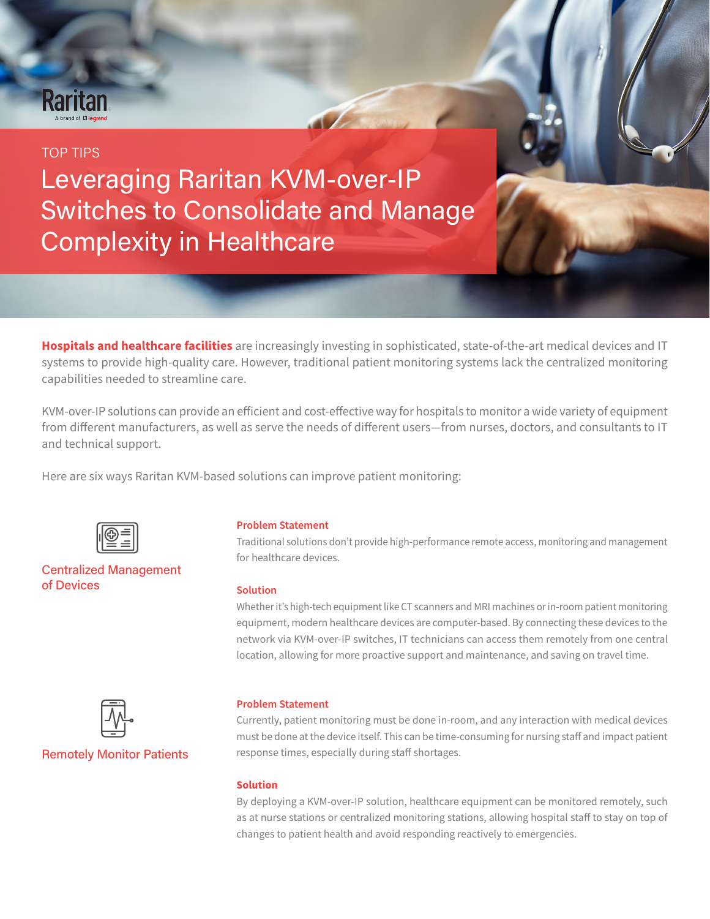# **Raritar**

# TOP TIPS

Leveraging Raritan KVM-over-IP Switches to Consolidate and Manage Complexity in Healthcare

**Hospitals and healthcare facilities** are increasingly investing in sophisticated, state-of-the-art medical devices and IT systems to provide high-quality care. However, traditional patient monitoring systems lack the centralized monitoring capabilities needed to streamline care.

KVM-over-IP solutions can provide an efficient and cost-effective way for hospitals to monitor a wide variety of equipment from different manufacturers, as well as serve the needs of different users—from nurses, doctors, and consultants to IT and technical support.

Here are six ways Raritan KVM-based solutions can improve patient monitoring:



## Centralized Management of Devices

#### **Problem Statement**

Traditional solutions don't provide high-performance remote access, monitoring and management for healthcare devices.

Leveraging Raritan KVM-over-IP Switches to Consolidate and Manage Complexity in Healthcare **1**

#### **Solution**

Whether it's high-tech equipment like CT scanners and MRI machines or in-room patient monitoring equipment, modern healthcare devices are computer-based. By connecting these devices to the network via KVM-over-IP switches, IT technicians can access them remotely from one central location, allowing for more proactive support and maintenance, and saving on travel time.



### Remotely Monitor Patients

#### **Problem Statement**

Currently, patient monitoring must be done in-room, and any interaction with medical devices must be done at the device itself. This can be time-consuming for nursing staff and impact patient response times, especially during staff shortages.

#### **Solution**

By deploying a KVM-over-IP solution, healthcare equipment can be monitored remotely, such as at nurse stations or centralized monitoring stations, allowing hospital staff to stay on top of changes to patient health and avoid responding reactively to emergencies.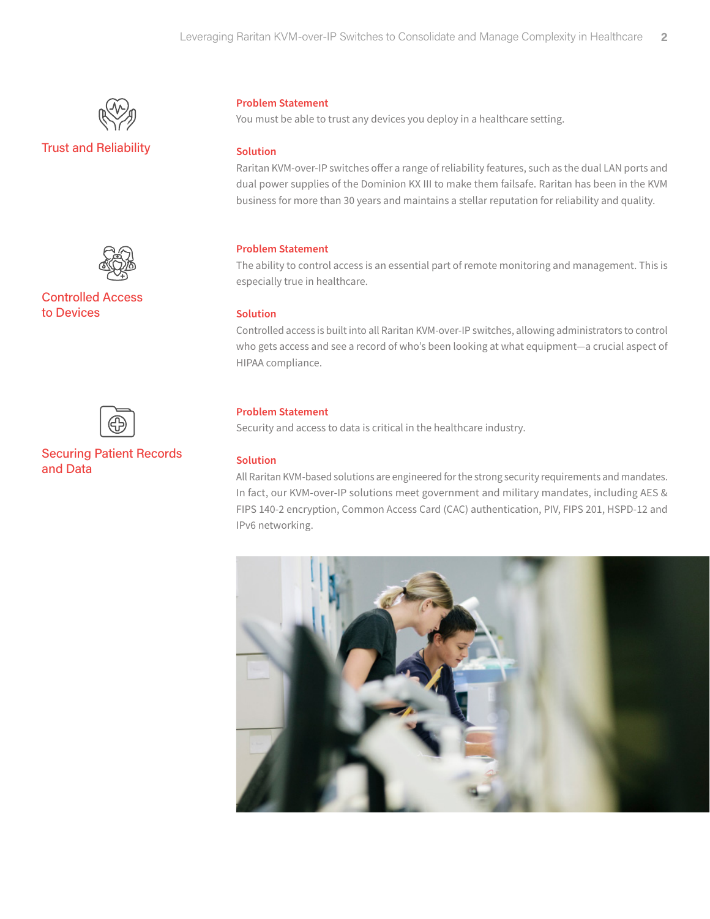

# Trust and Reliability



Controlled Access to Devices



## Securing Patient Records and Data

#### **Problem Statement**

You must be able to trust any devices you deploy in a healthcare setting.

#### **Solution**

Raritan KVM-over-IP switches offer a range of reliability features, such as the dual LAN ports and dual power supplies of the Dominion KX III to make them failsafe. Raritan has been in the KVM business for more than 30 years and maintains a stellar reputation for reliability and quality.

#### **Problem Statement**

The ability to control access is an essential part of remote monitoring and management. This is especially true in healthcare.

#### **Solution**

Controlled access is built into all Raritan KVM-over-IP switches, allowing administrators to control who gets access and see a record of who's been looking at what equipment—a crucial aspect of HIPAA compliance.

#### **Problem Statement**

Security and access to data is critical in the healthcare industry.

#### **Solution**

All Raritan KVM-based solutions are engineered for the strong security requirements and mandates. In fact, our KVM-over-IP solutions meet government and military mandates, including AES & FIPS 140-2 encryption, Common Access Card (CAC) authentication, PIV, FIPS 201, HSPD-12 and IPv6 networking.